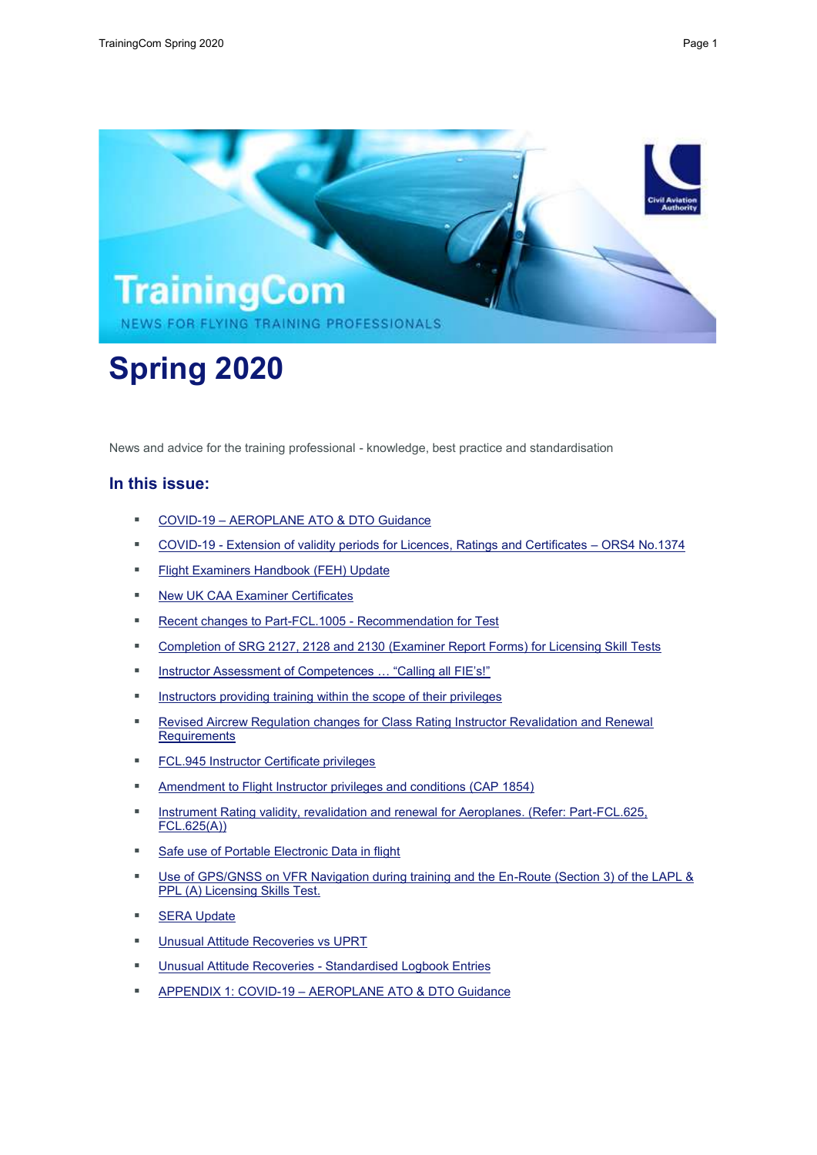

# **Spring 2020**

News and advice for the training professional - knowledge, best practice and standardisation

# **In this issue:**

- COVID-19 AEROPLANE ATO & DTO Guidance
- COVID-19 Extension of validity periods for Licences, Ratings and Certificates ORS4 No.1374
- **Flight Examiners Handbook (FEH) Update**
- New UK CAA Examiner Certificates
- Recent changes to Part-FCL.1005 Recommendation for Test
- Completion of SRG 2127, 2128 and 2130 (Examiner Report Forms) for Licensing Skill Tests
- Instructor Assessment of Competences ... "Calling all FIE's!"
- Instructors providing training within the scope of their privileges
- Revised Aircrew Regulation changes for Class Rating Instructor Revalidation and Renewal **Requirements**
- **FCL.945 Instructor Certificate privileges**
- Amendment to Flight Instructor privileges and conditions (CAP 1854)
- Instrument Rating validity, revalidation and renewal for Aeroplanes. (Refer: Part-FCL.625, FCL.625(A))
- Safe use of Portable Electronic Data in flight
- Use of GPS/GNSS on VFR Navigation during training and the En-Route (Section 3) of the LAPL & PPL (A) Licensing Skills Test.
- **SERA Update**
- Unusual Attitude Recoveries vs UPRT
- **Unusual Attitude Recoveries Standardised Logbook Entries**
- APPENDIX 1: COVID-19 AEROPLANE ATO & DTO Guidance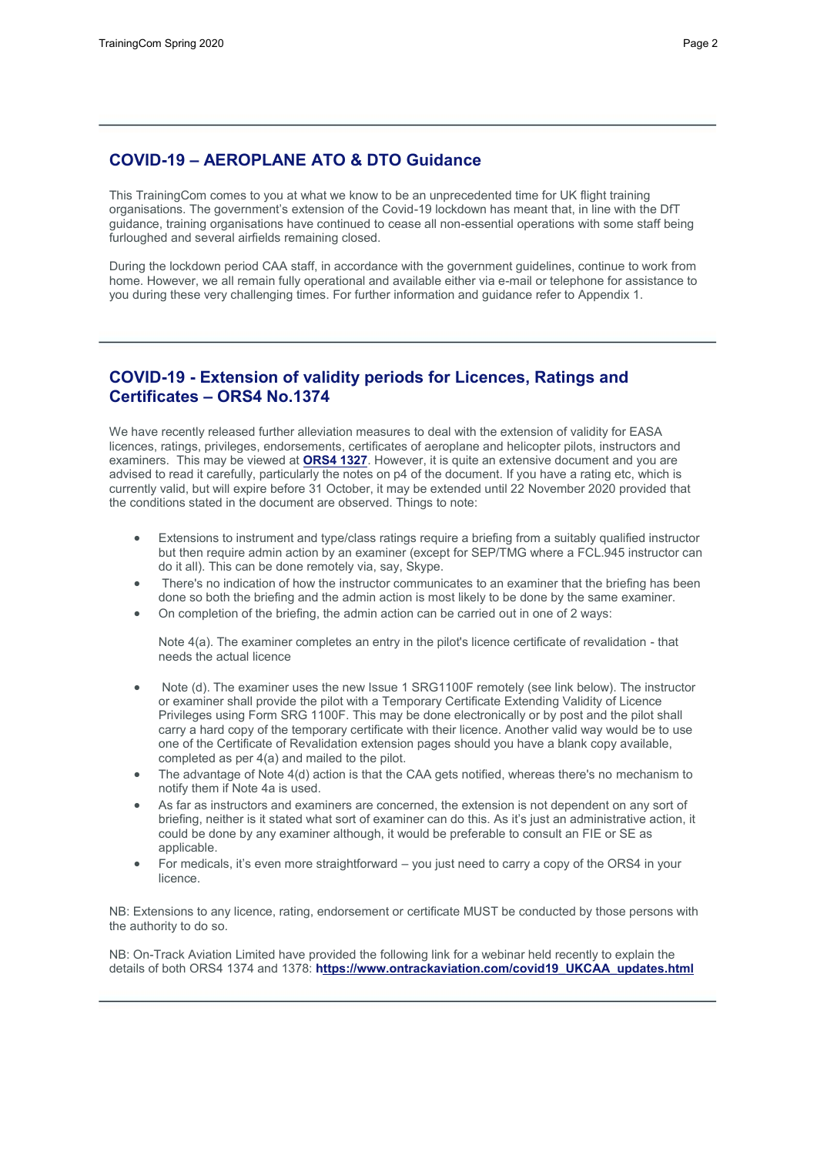# **COVID-19 – AEROPLANE ATO & DTO Guidance**

This TrainingCom comes to you at what we know to be an unprecedented time for UK flight training organisations. The government's extension of the Covid-19 lockdown has meant that, in line with the DfT guidance, training organisations have continued to cease all non-essential operations with some staff being furloughed and several airfields remaining closed.

During the lockdown period CAA staff, in accordance with the government guidelines, continue to work from home. However, we all remain fully operational and available either via e-mail or telephone for assistance to you during these very challenging times. For further information and guidance refer to Appendix 1.

# **COVID-19 - Extension of validity periods for Licences, Ratings and Certificates – ORS4 No.1374**

We have recently released further alleviation measures to deal with the extension of validity for EASA licences, ratings, privileges, endorsements, certificates of aeroplane and helicopter pilots, instructors and examiners. This may be viewed at **[ORS4 1327](http://publicapps.caa.co.uk/docs/33/ORS41374.pdf)**. However, it is quite an extensive document and you are advised to read it carefully, particularly the notes on p4 of the document. If you have a rating etc, which is currently valid, but will expire before 31 October, it may be extended until 22 November 2020 provided that the conditions stated in the document are observed. Things to note:

- Extensions to instrument and type/class ratings require a briefing from a suitably qualified instructor but then require admin action by an examiner (except for SEP/TMG where a FCL.945 instructor can do it all). This can be done remotely via, say, Skype.
- There's no indication of how the instructor communicates to an examiner that the briefing has been done so both the briefing and the admin action is most likely to be done by the same examiner.
- On completion of the briefing, the admin action can be carried out in one of 2 ways:

Note 4(a). The examiner completes an entry in the pilot's licence certificate of revalidation - that needs the actual licence

- Note (d). The examiner uses the new Issue 1 SRG1100F remotely (see link below). The instructor or examiner shall provide the pilot with a Temporary Certificate Extending Validity of Licence Privileges using Form SRG 1100F. This may be done electronically or by post and the pilot shall carry a hard copy of the temporary certificate with their licence. Another valid way would be to use one of the Certificate of Revalidation extension pages should you have a blank copy available, completed as per 4(a) and mailed to the pilot.
- The advantage of Note 4(d) action is that the CAA gets notified, whereas there's no mechanism to notify them if Note 4a is used.
- As far as instructors and examiners are concerned, the extension is not dependent on any sort of briefing, neither is it stated what sort of examiner can do this. As it's just an administrative action, it could be done by any examiner although, it would be preferable to consult an FIE or SE as applicable.
- For medicals, it's even more straightforward you just need to carry a copy of the ORS4 in your licence.

NB: Extensions to any licence, rating, endorsement or certificate MUST be conducted by those persons with the authority to do so.

NB: On-Track Aviation Limited have provided the following link for a webinar held recently to explain the details of both ORS4 1374 and 1378: **ht[tps://www.ontrackaviation.com/covid19\\_UKCAA\\_updates.html](https://www.ontrackaviation.com/covid19_UKCAA_updates.html)**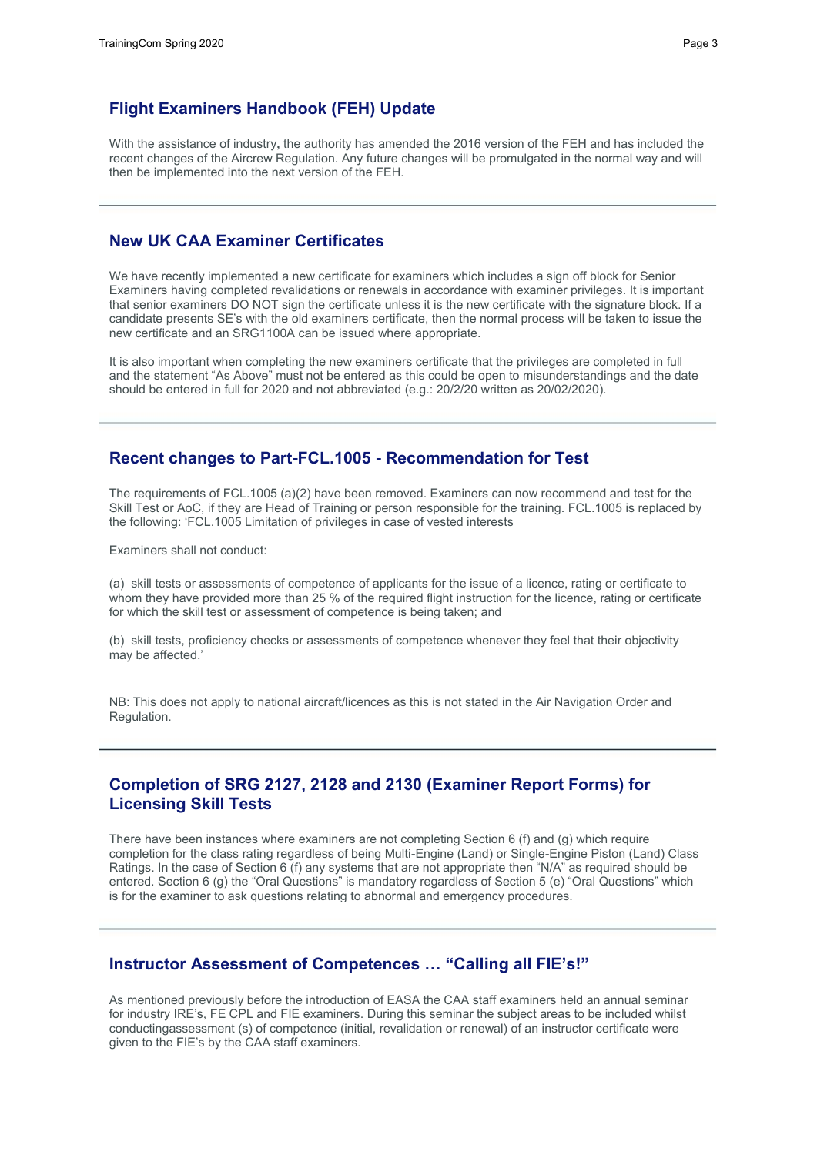# **Flight Examiners Handbook (FEH) Update**

With the assistance of industry**,** the authority has amended the 2016 version of the FEH and has included the recent changes of the Aircrew Regulation. Any future changes will be promulgated in the normal way and will then be implemented into the next version of the FEH.

# **New UK CAA Examiner Certificates**

We have recently implemented a new certificate for examiners which includes a sign off block for Senior Examiners having completed revalidations or renewals in accordance with examiner privileges. It is important that senior examiners DO NOT sign the certificate unless it is the new certificate with the signature block. If a candidate presents SE's with the old examiners certificate, then the normal process will be taken to issue the new certificate and an SRG1100A can be issued where appropriate.

It is also important when completing the new examiners certificate that the privileges are completed in full and the statement "As Above" must not be entered as this could be open to misunderstandings and the date should be entered in full for 2020 and not abbreviated (e.g.: 20/2/20 written as 20/02/2020).

### **Recent changes to Part-FCL.1005 - Recommendation for Test**

The requirements of FCL.1005 (a)(2) have been removed. Examiners can now recommend and test for the Skill Test or AoC, if they are Head of Training or person responsible for the training. FCL.1005 is replaced by the following: 'FCL.1005 Limitation of privileges in case of vested interests

Examiners shall not conduct:

(a) skill tests or assessments of competence of applicants for the issue of a licence, rating or certificate to whom they have provided more than 25 % of the required flight instruction for the licence, rating or certificate for which the skill test or assessment of competence is being taken; and

(b) skill tests, proficiency checks or assessments of competence whenever they feel that their objectivity may be affected.'

NB: This does not apply to national aircraft/licences as this is not stated in the Air Navigation Order and Regulation.

# **Completion of SRG 2127, 2128 and 2130 (Examiner Report Forms) for Licensing Skill Tests**

There have been instances where examiners are not completing Section 6 (f) and (g) which require completion for the class rating regardless of being Multi-Engine (Land) or Single-Engine Piston (Land) Class Ratings. In the case of Section 6 (f) any systems that are not appropriate then "N/A" as required should be entered. Section 6 (g) the "Oral Questions" is mandatory regardless of Section 5 (e) "Oral Questions" which is for the examiner to ask questions relating to abnormal and emergency procedures.

## **Instructor Assessment of Competences … "Calling all FIE's!"**

As mentioned previously before the introduction of EASA the CAA staff examiners held an annual seminar for industry IRE's, FE CPL and FIE examiners. During this seminar the subject areas to be included whilst conductingassessment (s) of competence (initial, revalidation or renewal) of an instructor certificate were given to the FIE's by the CAA staff examiners.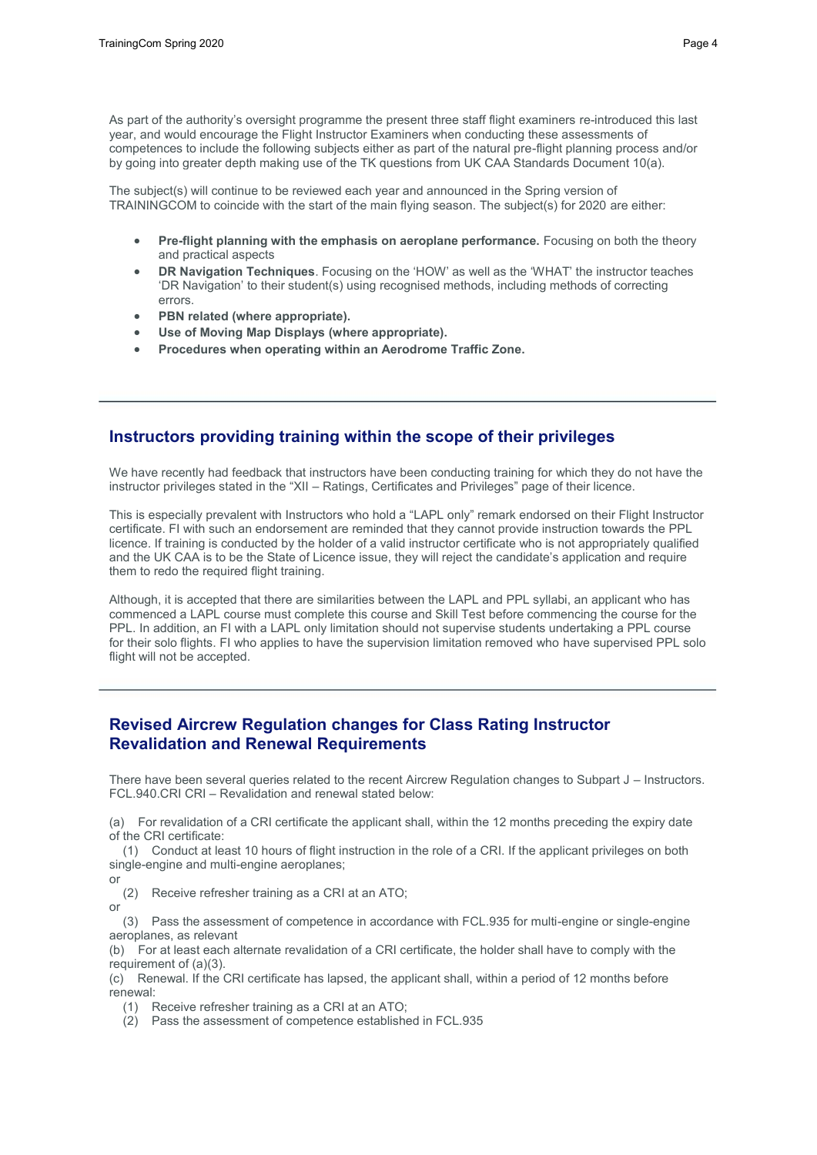As part of the authority's oversight programme the present three staff flight examiners re-introduced this last year, and would encourage the Flight Instructor Examiners when conducting these assessments of competences to include the following subjects either as part of the natural pre-flight planning process and/or by going into greater depth making use of the TK questions from UK CAA Standards Document 10(a).

The subject(s) will continue to be reviewed each year and announced in the Spring version of TRAININGCOM to coincide with the start of the main flying season. The subject(s) for 2020 are either:

- **Pre-flight planning with the emphasis on aeroplane performance.** Focusing on both the theory and practical aspects
- **DR Navigation Techniques**. Focusing on the 'HOW' as well as the 'WHAT' the instructor teaches 'DR Navigation' to their student(s) using recognised methods, including methods of correcting errors.
- **PBN related (where appropriate).**
- **Use of Moving Map Displays (where appropriate).**
- **Procedures when operating within an Aerodrome Traffic Zone.**

# **Instructors providing training within the scope of their privileges**

We have recently had feedback that instructors have been conducting training for which they do not have the instructor privileges stated in the "XII – Ratings, Certificates and Privileges" page of their licence.

This is especially prevalent with Instructors who hold a "LAPL only" remark endorsed on their Flight Instructor certificate. FI with such an endorsement are reminded that they cannot provide instruction towards the PPL licence. If training is conducted by the holder of a valid instructor certificate who is not appropriately qualified and the UK CAA is to be the State of Licence issue, they will reject the candidate's application and require them to redo the required flight training.

Although, it is accepted that there are similarities between the LAPL and PPL syllabi, an applicant who has commenced a LAPL course must complete this course and Skill Test before commencing the course for the PPL. In addition, an FI with a LAPL only limitation should not supervise students undertaking a PPL course for their solo flights. FI who applies to have the supervision limitation removed who have supervised PPL solo flight will not be accepted.

# **Revised Aircrew Regulation changes for Class Rating Instructor Revalidation and Renewal Requirements**

There have been several queries related to the recent Aircrew Regulation changes to Subpart J – Instructors. FCL.940.CRI CRI – Revalidation and renewal stated below:

(a) For revalidation of a CRI certificate the applicant shall, within the 12 months preceding the expiry date of the CRI certificate:

(1) Conduct at least 10 hours of flight instruction in the role of a CRI. If the applicant privileges on both single-engine and multi-engine aeroplanes; or

(2) Receive refresher training as a CRI at an ATO; or

(3) Pass the assessment of competence in accordance with FCL.935 for multi-engine or single-engine aeroplanes, as relevant

(b) For at least each alternate revalidation of a CRI certificate, the holder shall have to comply with the requirement of (a)(3).

(c) Renewal. If the CRI certificate has lapsed, the applicant shall, within a period of 12 months before renewal:

(1) Receive refresher training as a CRI at an ATO;

(2) Pass the assessment of competence established in FCL.935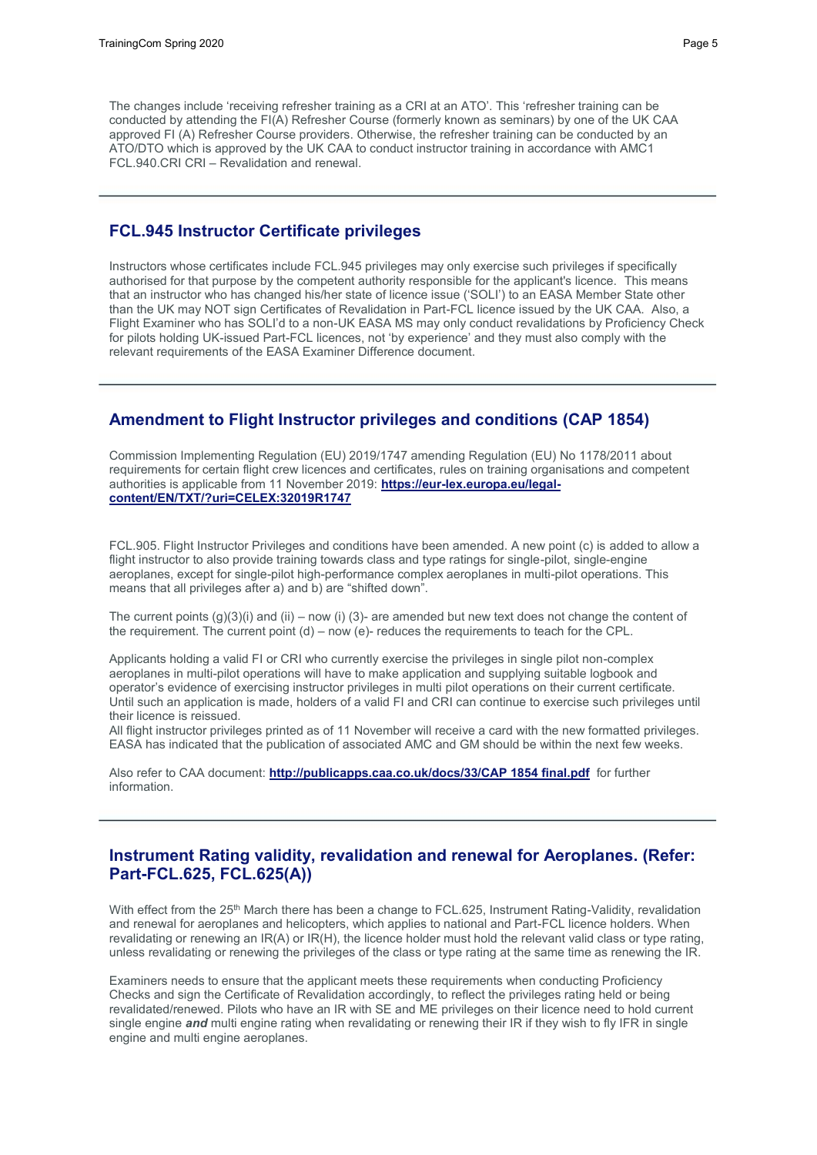The changes include 'receiving refresher training as a CRI at an ATO'. This 'refresher training can be conducted by attending the FI(A) Refresher Course (formerly known as seminars) by one of the UK CAA approved FI (A) Refresher Course providers. Otherwise, the refresher training can be conducted by an ATO/DTO which is approved by the UK CAA to conduct instructor training in accordance with AMC1 FCL.940.CRI CRI – Revalidation and renewal.

## **FCL.945 Instructor Certificate privileges**

Instructors whose certificates include FCL.945 privileges may only exercise such privileges if specifically authorised for that purpose by the competent authority responsible for the applicant's licence. This means that an instructor who has changed his/her state of licence issue ('SOLI') to an EASA Member State other than the UK may NOT sign Certificates of Revalidation in Part-FCL licence issued by the UK CAA. Also, a Flight Examiner who has SOLI'd to a non-UK EASA MS may only conduct revalidations by Proficiency Check for pilots holding UK-issued Part-FCL licences, not 'by experience' and they must also comply with the relevant requirements of the EASA Examiner Difference document.

## **Amendment to Flight Instructor privileges and conditions (CAP 1854)**

Commission Implementing Regulation (EU) 2019/1747 amending Regulation (EU) No 1178/2011 about requirements for certain flight crew licences and certificates, rules on training organisations and competent authorities is applicable from 11 November 2019: **[https://eur-lex.europa.eu/legal](https://eur-lex.europa.eu/legal-content/EN/TXT/?uri=CELEX:32019R1747)[content/EN/TXT/?uri=CELEX:32019R1747](https://eur-lex.europa.eu/legal-content/EN/TXT/?uri=CELEX:32019R1747)**

FCL.905. Flight Instructor Privileges and conditions have been amended. A new point (c) is added to allow a flight instructor to also provide training towards class and type ratings for single-pilot, single-engine aeroplanes, except for single-pilot high-performance complex aeroplanes in multi-pilot operations. This means that all privileges after a) and b) are "shifted down".

The current points  $(g)(3)(i)$  and  $(ii)$  – now  $(i)$  (3)- are amended but new text does not change the content of the requirement. The current point  $(d)$  – now  $(e)$ - reduces the requirements to teach for the CPL.

Applicants holding a valid FI or CRI who currently exercise the privileges in single pilot non-complex aeroplanes in multi-pilot operations will have to make application and supplying suitable logbook and operator's evidence of exercising instructor privileges in multi pilot operations on their current certificate. Until such an application is made, holders of a valid FI and CRI can continue to exercise such privileges until their licence is reissued.

All flight instructor privileges printed as of 11 November will receive a card with the new formatted privileges. EASA has indicated that the publication of associated AMC and GM should be within the next few weeks.

Also refer to CAA document: **[http://publicapps.caa.co.uk/docs/33/CAP 18](http://publicapps.caa.co.uk/docs/33/CAP)54 final.pdf** for further information.

# **Instrument Rating validity, revalidation and renewal for Aeroplanes. (Refer: Part-FCL.625, FCL.625(A))**

With effect from the 25<sup>th</sup> March there has been a change to FCL.625, Instrument Rating-Validity, revalidation and renewal for aeroplanes and helicopters, which applies to national and Part-FCL licence holders. When revalidating or renewing an IR(A) or IR(H), the licence holder must hold the relevant valid class or type rating, unless revalidating or renewing the privileges of the class or type rating at the same time as renewing the IR.

Examiners needs to ensure that the applicant meets these requirements when conducting Proficiency Checks and sign the Certificate of Revalidation accordingly, to reflect the privileges rating held or being revalidated/renewed. Pilots who have an IR with SE and ME privileges on their licence need to hold current single engine *and* multi engine rating when revalidating or renewing their IR if they wish to fly IFR in single engine and multi engine aeroplanes.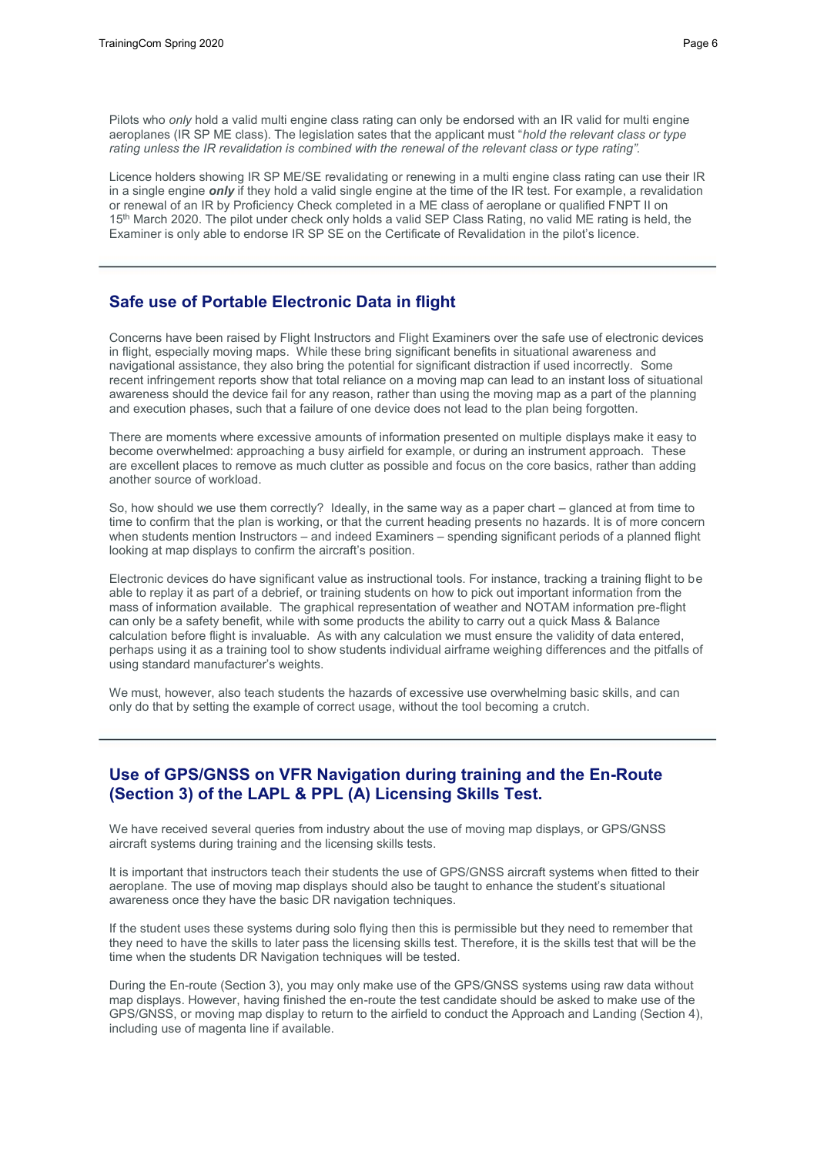Pilots who *only* hold a valid multi engine class rating can only be endorsed with an IR valid for multi engine aeroplanes (IR SP ME class). The legislation sates that the applicant must "*hold the relevant class or type*  rating unless the IR revalidation is combined with the renewal of the relevant class or type rating".

Licence holders showing IR SP ME/SE revalidating or renewing in a multi engine class rating can use their IR in a single engine *only* if they hold a valid single engine at the time of the IR test. For example, a revalidation or renewal of an IR by Proficiency Check completed in a ME class of aeroplane or qualified FNPT II on 15<sup>th</sup> March 2020. The pilot under check only holds a valid SEP Class Rating, no valid ME rating is held, the Examiner is only able to endorse IR SP SE on the Certificate of Revalidation in the pilot's licence.

## **Safe use of Portable Electronic Data in flight**

Concerns have been raised by Flight Instructors and Flight Examiners over the safe use of electronic devices in flight, especially moving maps. While these bring significant benefits in situational awareness and navigational assistance, they also bring the potential for significant distraction if used incorrectly. Some recent infringement reports show that total reliance on a moving map can lead to an instant loss of situational awareness should the device fail for any reason, rather than using the moving map as a part of the planning and execution phases, such that a failure of one device does not lead to the plan being forgotten.

There are moments where excessive amounts of information presented on multiple displays make it easy to become overwhelmed: approaching a busy airfield for example, or during an instrument approach. These are excellent places to remove as much clutter as possible and focus on the core basics, rather than adding another source of workload.

So, how should we use them correctly? Ideally, in the same way as a paper chart – glanced at from time to time to confirm that the plan is working, or that the current heading presents no hazards. It is of more concern when students mention Instructors – and indeed Examiners – spending significant periods of a planned flight looking at map displays to confirm the aircraft's position.

Electronic devices do have significant value as instructional tools. For instance, tracking a training flight to be able to replay it as part of a debrief, or training students on how to pick out important information from the mass of information available. The graphical representation of weather and NOTAM information pre-flight can only be a safety benefit, while with some products the ability to carry out a quick Mass & Balance calculation before flight is invaluable. As with any calculation we must ensure the validity of data entered, perhaps using it as a training tool to show students individual airframe weighing differences and the pitfalls of using standard manufacturer's weights.

We must, however, also teach students the hazards of excessive use overwhelming basic skills, and can only do that by setting the example of correct usage, without the tool becoming a crutch.

# **Use of GPS/GNSS on VFR Navigation during training and the En-Route (Section 3) of the LAPL & PPL (A) Licensing Skills Test.**

We have received several queries from industry about the use of moving map displays, or GPS/GNSS aircraft systems during training and the licensing skills tests.

It is important that instructors teach their students the use of GPS/GNSS aircraft systems when fitted to their aeroplane. The use of moving map displays should also be taught to enhance the student's situational awareness once they have the basic DR navigation techniques.

If the student uses these systems during solo flying then this is permissible but they need to remember that they need to have the skills to later pass the licensing skills test. Therefore, it is the skills test that will be the time when the students DR Navigation techniques will be tested.

During the En-route (Section 3), you may only make use of the GPS/GNSS systems using raw data without map displays. However, having finished the en-route the test candidate should be asked to make use of the GPS/GNSS, or moving map display to return to the airfield to conduct the Approach and Landing (Section 4), including use of magenta line if available.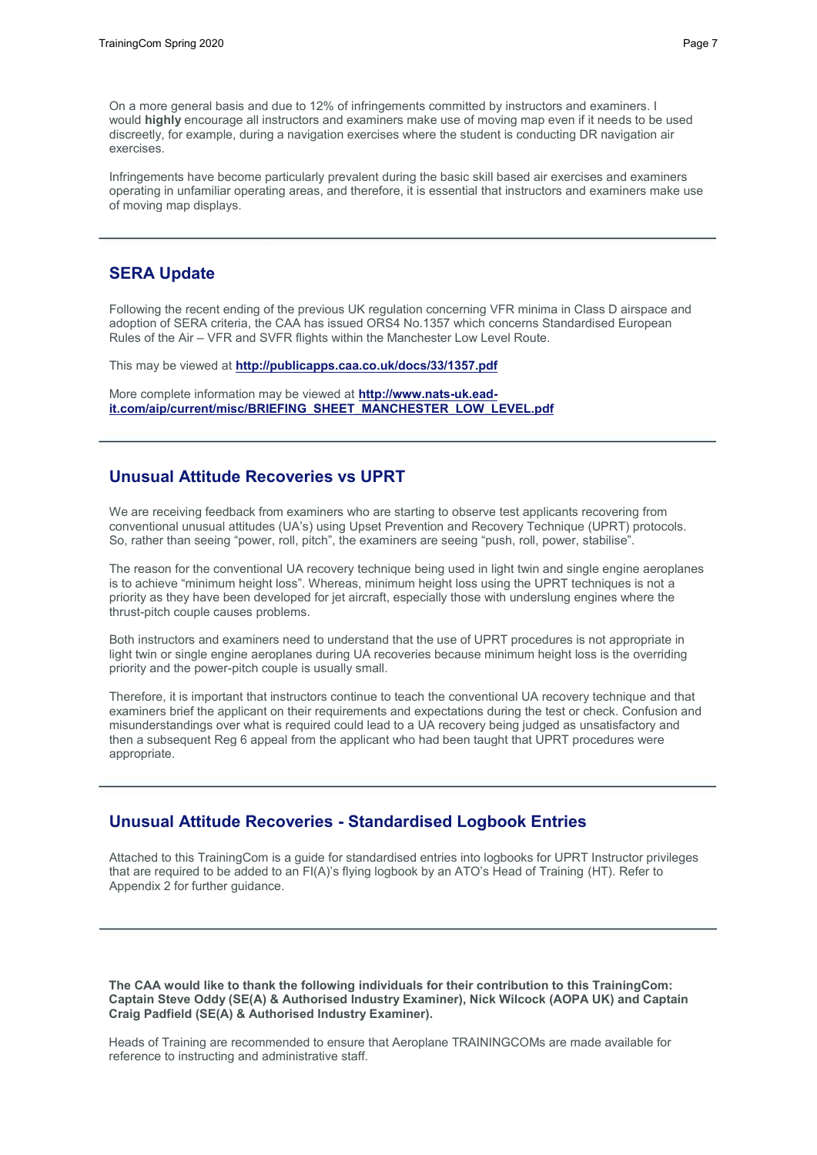On a more general basis and due to 12% of infringements committed by instructors and examiners. I would **highly** encourage all instructors and examiners make use of moving map even if it needs to be used discreetly, for example, during a navigation exercises where the student is conducting DR navigation air exercises.

Infringements have become particularly prevalent during the basic skill based air exercises and examiners operating in unfamiliar operating areas, and therefore, it is essential that instructors and examiners make use of moving map displays.

### **SERA Update**

Following the recent ending of the previous UK regulation concerning VFR minima in Class D airspace and adoption of SERA criteria, the CAA has issued ORS4 No.1357 which concerns Standardised European Rules of the Air – VFR and SVFR flights within the Manchester Low Level Route.

This may be viewed at **<http://publicapps.caa.co.uk/docs/33/1357.pdf>**

More complete information may be viewed at **[http://www.nats-uk.ead](http://www.nats-uk.ead-it.com/aip/current/misc/BRIEFING_SHEET_MANCHESTER_LOW_LEVEL.pdf)[it.com/aip/current/misc/BRIEFING\\_SHEET\\_MANCHESTER\\_LOW\\_LEVEL.pdf](http://www.nats-uk.ead-it.com/aip/current/misc/BRIEFING_SHEET_MANCHESTER_LOW_LEVEL.pdf)**

# **Unusual Attitude Recoveries vs UPRT**

We are receiving feedback from examiners who are starting to observe test applicants recovering from conventional unusual attitudes (UA's) using Upset Prevention and Recovery Technique (UPRT) protocols. So, rather than seeing "power, roll, pitch", the examiners are seeing "push, roll, power, stabilise".

The reason for the conventional UA recovery technique being used in light twin and single engine aeroplanes is to achieve "minimum height loss". Whereas, minimum height loss using the UPRT techniques is not a priority as they have been developed for jet aircraft, especially those with underslung engines where the thrust-pitch couple causes problems.

Both instructors and examiners need to understand that the use of UPRT procedures is not appropriate in light twin or single engine aeroplanes during UA recoveries because minimum height loss is the overriding priority and the power-pitch couple is usually small.

Therefore, it is important that instructors continue to teach the conventional UA recovery technique and that examiners brief the applicant on their requirements and expectations during the test or check. Confusion and misunderstandings over what is required could lead to a UA recovery being judged as unsatisfactory and then a subsequent Reg 6 appeal from the applicant who had been taught that UPRT procedures were appropriate.

## **Unusual Attitude Recoveries - Standardised Logbook Entries**

Attached to this TrainingCom is a guide for standardised entries into logbooks for UPRT Instructor privileges that are required to be added to an FI(A)'s flying logbook by an ATO's Head of Training (HT). Refer to Appendix 2 for further guidance.

**The CAA would like to thank the following individuals for their contribution to this TrainingCom: Captain Steve Oddy (SE(A) & Authorised Industry Examiner), Nick Wilcock (AOPA UK) and Captain Craig Padfield (SE(A) & Authorised Industry Examiner).**

Heads of Training are recommended to ensure that Aeroplane TRAININGCOMs are made available for reference to instructing and administrative staff.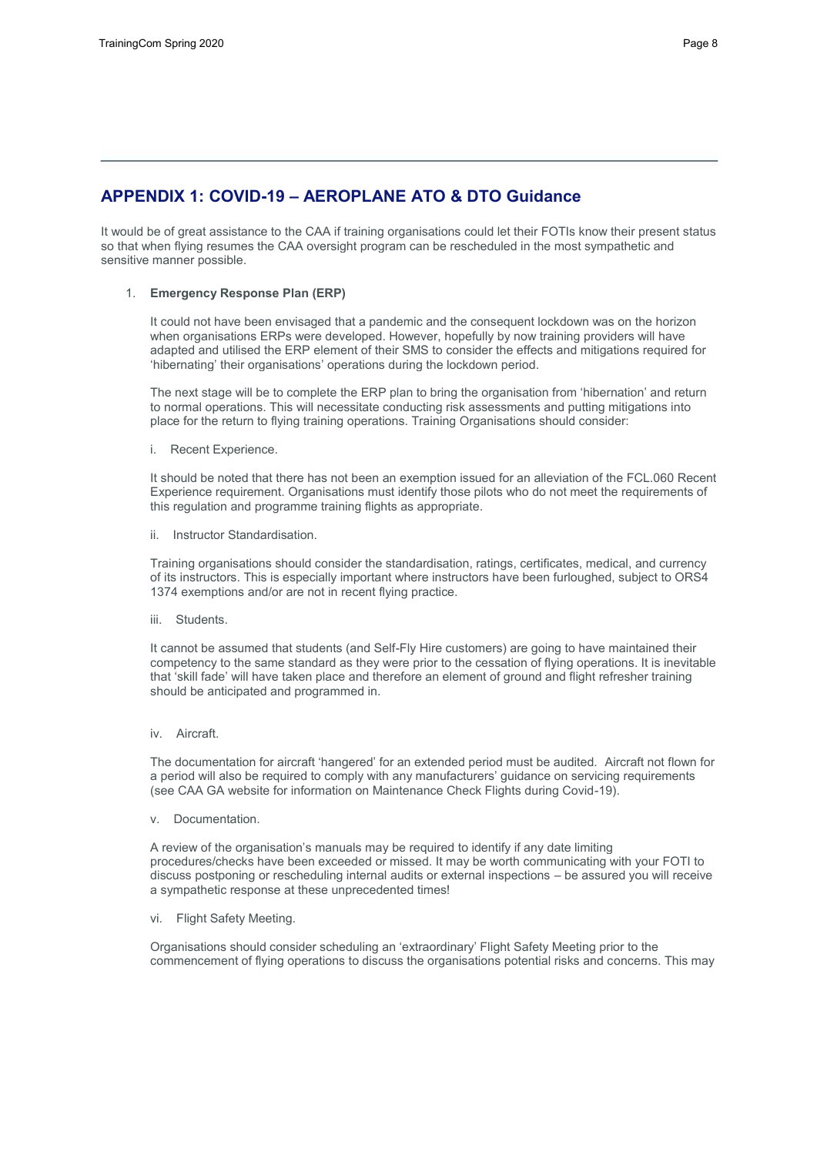# **APPENDIX 1: COVID-19 – AEROPLANE ATO & DTO Guidance**

It would be of great assistance to the CAA if training organisations could let their FOTIs know their present status so that when flying resumes the CAA oversight program can be rescheduled in the most sympathetic and sensitive manner possible.

#### 1. **Emergency Response Plan (ERP)**

It could not have been envisaged that a pandemic and the consequent lockdown was on the horizon when organisations ERPs were developed. However, hopefully by now training providers will have adapted and utilised the ERP element of their SMS to consider the effects and mitigations required for 'hibernating' their organisations' operations during the lockdown period.

The next stage will be to complete the ERP plan to bring the organisation from 'hibernation' and return to normal operations. This will necessitate conducting risk assessments and putting mitigations into place for the return to flying training operations. Training Organisations should consider:

i. Recent Experience.

It should be noted that there has not been an exemption issued for an alleviation of the FCL.060 Recent Experience requirement. Organisations must identify those pilots who do not meet the requirements of this regulation and programme training flights as appropriate.

ii. Instructor Standardisation.

Training organisations should consider the standardisation, ratings, certificates, medical, and currency of its instructors. This is especially important where instructors have been furloughed, subject to ORS4 1374 exemptions and/or are not in recent flying practice.

iii. Students.

It cannot be assumed that students (and Self-Fly Hire customers) are going to have maintained their competency to the same standard as they were prior to the cessation of flying operations. It is inevitable that 'skill fade' will have taken place and therefore an element of ground and flight refresher training should be anticipated and programmed in.

iv. Aircraft.

The documentation for aircraft 'hangered' for an extended period must be audited. Aircraft not flown for a period will also be required to comply with any manufacturers' guidance on servicing requirements (see CAA GA website for information on Maintenance Check Flights during Covid-19).

v. Documentation.

A review of the organisation's manuals may be required to identify if any date limiting procedures/checks have been exceeded or missed. It may be worth communicating with your FOTI to discuss postponing or rescheduling internal audits or external inspections – be assured you will receive a sympathetic response at these unprecedented times!

vi. Flight Safety Meeting.

Organisations should consider scheduling an 'extraordinary' Flight Safety Meeting prior to the commencement of flying operations to discuss the organisations potential risks and concerns. This may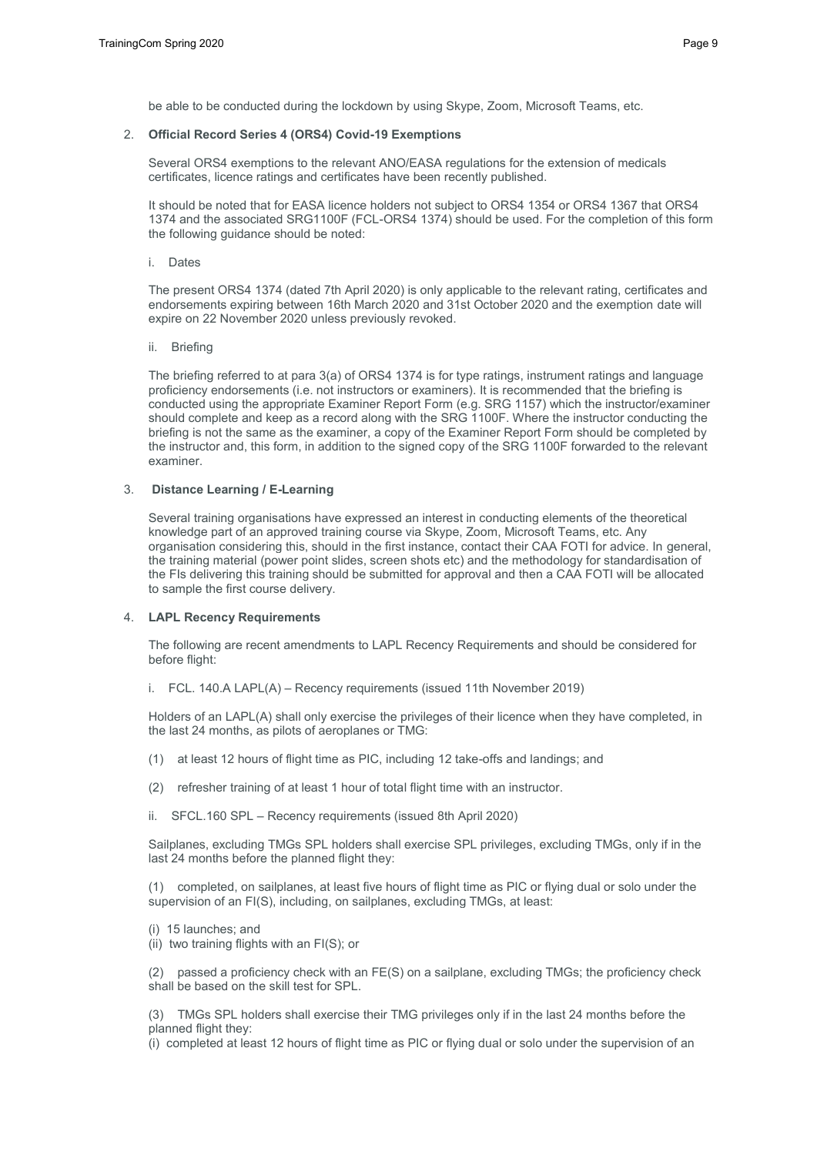be able to be conducted during the lockdown by using Skype, Zoom, Microsoft Teams, etc.

#### 2. **Official Record Series 4 (ORS4) Covid-19 Exemptions**

Several ORS4 exemptions to the relevant ANO/EASA regulations for the extension of medicals certificates, licence ratings and certificates have been recently published.

It should be noted that for EASA licence holders not subject to ORS4 1354 or ORS4 1367 that ORS4 1374 and the associated SRG1100F (FCL-ORS4 1374) should be used. For the completion of this form the following guidance should be noted:

i. Dates

The present ORS4 1374 (dated 7th April 2020) is only applicable to the relevant rating, certificates and endorsements expiring between 16th March 2020 and 31st October 2020 and the exemption date will expire on 22 November 2020 unless previously revoked.

ii. Briefing

The briefing referred to at para 3(a) of ORS4 1374 is for type ratings, instrument ratings and language proficiency endorsements (i.e. not instructors or examiners). It is recommended that the briefing is conducted using the appropriate Examiner Report Form (e.g. SRG 1157) which the instructor/examiner should complete and keep as a record along with the SRG 1100F. Where the instructor conducting the briefing is not the same as the examiner, a copy of the Examiner Report Form should be completed by the instructor and, this form, in addition to the signed copy of the SRG 1100F forwarded to the relevant examiner.

#### 3. **Distance Learning / E-Learning**

Several training organisations have expressed an interest in conducting elements of the theoretical knowledge part of an approved training course via Skype, Zoom, Microsoft Teams, etc. Any organisation considering this, should in the first instance, contact their CAA FOTI for advice. In general, the training material (power point slides, screen shots etc) and the methodology for standardisation of the FIs delivering this training should be submitted for approval and then a CAA FOTI will be allocated to sample the first course delivery.

#### 4. **LAPL Recency Requirements**

The following are recent amendments to LAPL Recency Requirements and should be considered for before flight:

i. FCL. 140.A LAPL(A) – Recency requirements (issued 11th November 2019)

Holders of an LAPL(A) shall only exercise the privileges of their licence when they have completed, in the last 24 months, as pilots of aeroplanes or TMG:

- (1) at least 12 hours of flight time as PIC, including 12 take-offs and landings; and
- (2) refresher training of at least 1 hour of total flight time with an instructor.
- ii. SFCL.160 SPL Recency requirements (issued 8th April 2020)

Sailplanes, excluding TMGs SPL holders shall exercise SPL privileges, excluding TMGs, only if in the last 24 months before the planned flight they:

(1) completed, on sailplanes, at least five hours of flight time as PIC or flying dual or solo under the supervision of an FI(S), including, on sailplanes, excluding TMGs, at least:

- (i) 15 launches; and
- (ii) two training flights with an FI(S); or

(2) passed a proficiency check with an FE(S) on a sailplane, excluding TMGs; the proficiency check shall be based on the skill test for SPL.

(3) TMGs SPL holders shall exercise their TMG privileges only if in the last 24 months before the planned flight they:

(i) completed at least 12 hours of flight time as PIC or flying dual or solo under the supervision of an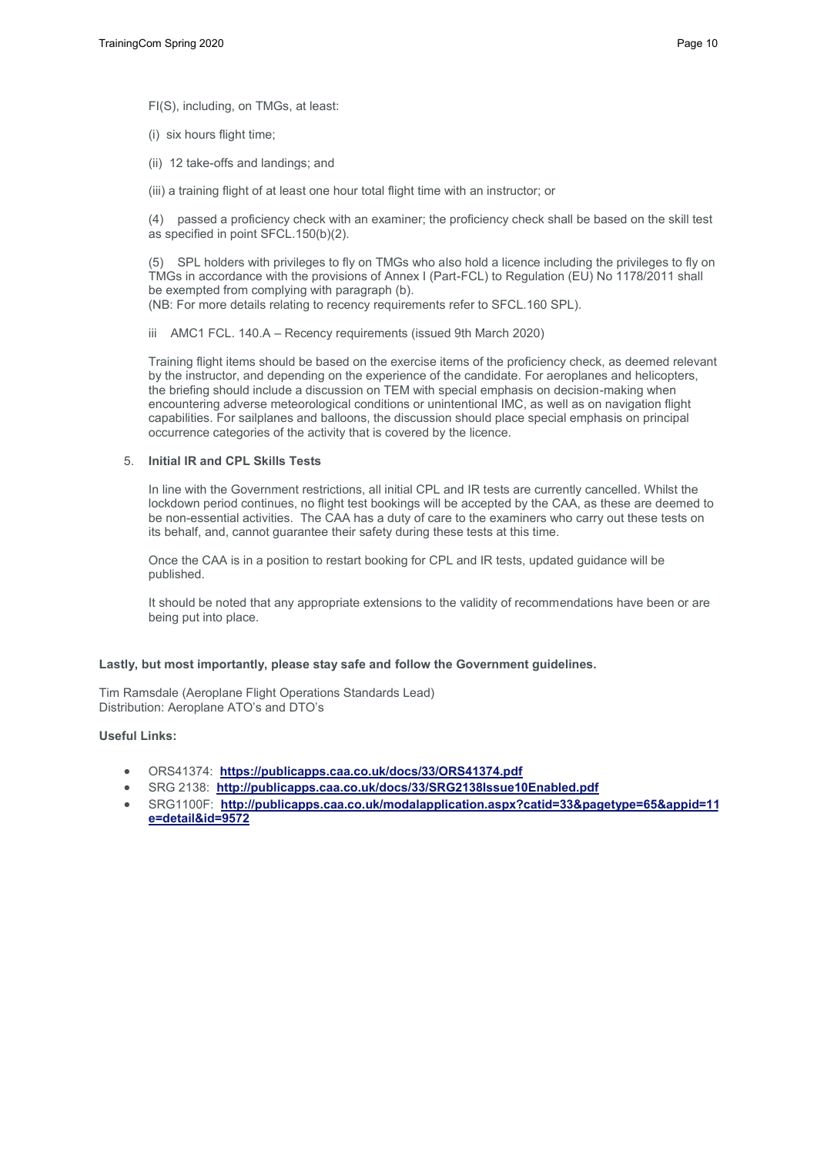FI(S), including, on TMGs, at least:

(i) six hours flight time;

(ii) 12 take-offs and landings; and

(iii) a training flight of at least one hour total flight time with an instructor; or

(4) passed a proficiency check with an examiner; the proficiency check shall be based on the skill test as specified in point SFCL.150(b)(2).

(5) SPL holders with privileges to fly on TMGs who also hold a licence including the privileges to fly on TMGs in accordance with the provisions of Annex I (Part-FCL) to Regulation (EU) No 1178/2011 shall be exempted from complying with paragraph (b). (NB: For more details relating to recency requirements refer to SFCL.160 SPL).

iii AMC1 FCL. 140.A – Recency requirements (issued 9th March 2020)

Training flight items should be based on the exercise items of the proficiency check, as deemed relevant by the instructor, and depending on the experience of the candidate. For aeroplanes and helicopters, the briefing should include a discussion on TEM with special emphasis on decision-making when encountering adverse meteorological conditions or unintentional IMC, as well as on navigation flight capabilities. For sailplanes and balloons, the discussion should place special emphasis on principal occurrence categories of the activity that is covered by the licence.

#### 5. **Initial IR and CPL Skills Tests**

In line with the Government restrictions, all initial CPL and IR tests are currently cancelled. Whilst the lockdown period continues, no flight test bookings will be accepted by the CAA, as these are deemed to be non-essential activities. The CAA has a duty of care to the examiners who carry out these tests on its behalf, and, cannot guarantee their safety during these tests at this time.

Once the CAA is in a position to restart booking for CPL and IR tests, updated guidance will be published.

It should be noted that any appropriate extensions to the validity of recommendations have been or are being put into place.

#### **Lastly, but most importantly, please stay safe and follow the Government guidelines.**

Tim Ramsdale (Aeroplane Flight Operations Standards Lead) Distribution: Aeroplane ATO's and DTO's

#### **Useful Links:**

- ORS41374: **[https://publicapps.caa.co.uk/docs/33/ORS41374.pd](https://publicapps.caa.co.uk/docs/33/ORS41374.pdf%E2%80%A2SRG)f**
- [SRG 21](https://publicapps.caa.co.uk/docs/33/ORS41374.pdf%E2%80%A2SRG)38: **[http://publicapps.caa.co.uk/docs/33/SRG2138Issue10](https://publicapps.caa.co.uk/docs/33/ORS41374.pdf%E2%80%A2SRG)[Enabled.pd](http://publicapps.caa.co.uk/docs/33/SRG2138Issue10Enabled.pdf%E2%80%A2SRG1100F:)f**
- [SRG1100F:](http://publicapps.caa.co.uk/docs/33/SRG2138Issue10Enabled.pdf%E2%80%A2SRG1100F:) [http://publicapps.caa.co.uk/modalapplication.aspx?catid=33&page](http://publicapps.caa.co.uk/docs/33/SRG2138Issue10Enabled.pdf%E2%80%A2SRG1100F:)type=65&appid=11 **e=[detail&id=9572](http://publicapps.caa.co.uk/modalapplication.aspx?catid=33&pagetype=65&appid=11&mode=detail&id=9572)**